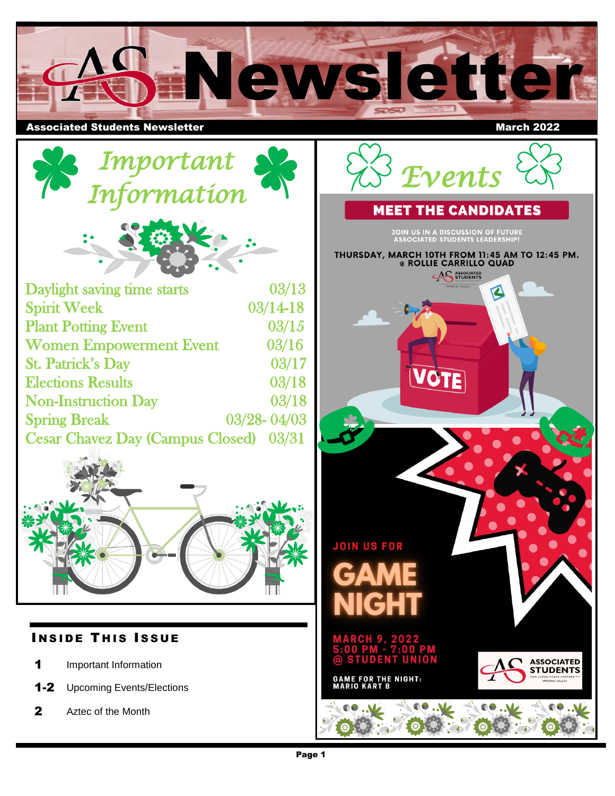

## **Associated Students Newsletter March 2022**

 *Events* 

**JOIN US IN A DISCUSSION OF FUTURE<br>ASSOCIATED STUDENTS LEADERSHIP!** 

**AS ASSOCIATED** 

 $\blacktriangle$ 

**ASSOCIATED STUDENT**